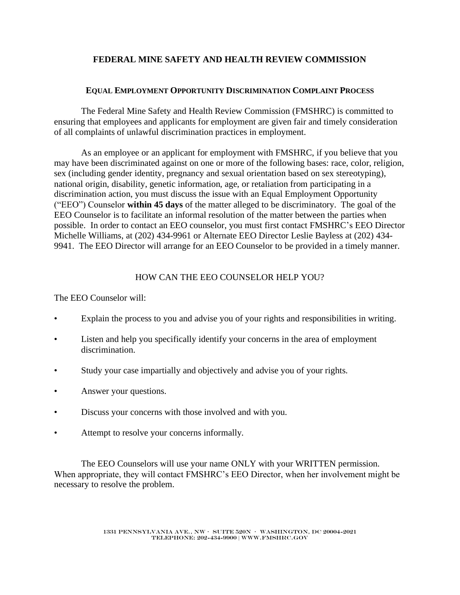# **FEDERAL MINE SAFETY AND HEALTH REVIEW COMMISSION**

### **EQUAL EMPLOYMENT OPPORTUNITY DISCRIMINATION COMPLAINT PROCESS**

The Federal Mine Safety and Health Review Commission (FMSHRC) is committed to ensuring that employees and applicants for employment are given fair and timely consideration of all complaints of unlawful discrimination practices in employment.

As an employee or an applicant for employment with FMSHRC, if you believe that you may have been discriminated against on one or more of the following bases: race, color, religion, sex (including gender identity, pregnancy and sexual orientation based on sex stereotyping), national origin, disability, genetic information, age, or retaliation from participating in a discrimination action, you must discuss the issue with an Equal Employment Opportunity ("EEO") Counselor **within 45 days** of the matter alleged to be discriminatory. The goal of the EEO Counselor is to facilitate an informal resolution of the matter between the parties when possible. In order to contact an EEO counselor, you must first contact FMSHRC's EEO Director Michelle Williams, at (202) 434-9961 or Alternate EEO Director Leslie Bayless at (202) 434- 9941. The EEO Director will arrange for an EEO Counselor to be provided in a timely manner.

## HOW CAN THE EEO COUNSELOR HELP YOU?

The EEO Counselor will:

- Explain the process to you and advise you of your rights and responsibilities in writing.
- Listen and help you specifically identify your concerns in the area of employment discrimination.
- Study your case impartially and objectively and advise you of your rights.
- Answer your questions.
- Discuss your concerns with those involved and with you.
- Attempt to resolve your concerns informally.

The EEO Counselors will use your name ONLY with your WRITTEN permission. When appropriate, they will contact FMSHRC's EEO Director, when her involvement might be necessary to resolve the problem.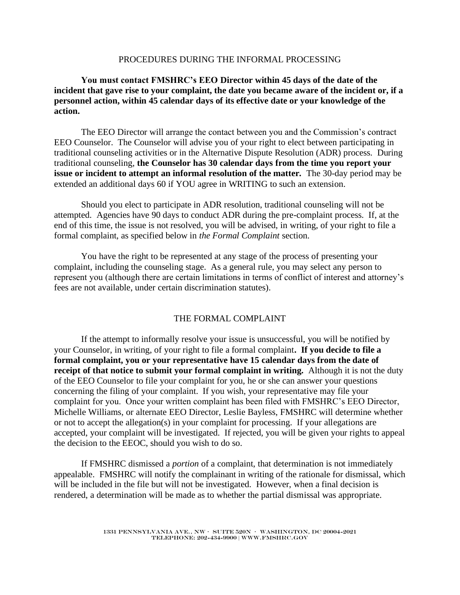### PROCEDURES DURING THE INFORMAL PROCESSING

## **You must contact FMSHRC's EEO Director within 45 days of the date of the incident that gave rise to your complaint, the date you became aware of the incident or, if a personnel action, within 45 calendar days of its effective date or your knowledge of the action.**

The EEO Director will arrange the contact between you and the Commission's contract EEO Counselor. The Counselor will advise you of your right to elect between participating in traditional counseling activities or in the Alternative Dispute Resolution (ADR) process. During traditional counseling, **the Counselor has 30 calendar days from the time you report your issue or incident to attempt an informal resolution of the matter.** The 30-day period may be extended an additional days 60 if YOU agree in WRITING to such an extension.

Should you elect to participate in ADR resolution, traditional counseling will not be attempted. Agencies have 90 days to conduct ADR during the pre-complaint process. If, at the end of this time, the issue is not resolved, you will be advised, in writing, of your right to file a formal complaint, as specified below in *the Formal Complaint* section.

You have the right to be represented at any stage of the process of presenting your complaint, including the counseling stage. As a general rule, you may select any person to represent you (although there are certain limitations in terms of conflict of interest and attorney's fees are not available, under certain discrimination statutes).

## THE FORMAL COMPLAINT

If the attempt to informally resolve your issue is unsuccessful, you will be notified by your Counselor, in writing, of your right to file a formal complaint**. If you decide to file a formal complaint, you or your representative have 15 calendar days from the date of receipt of that notice to submit your formal complaint in writing.** Although it is not the duty of the EEO Counselor to file your complaint for you, he or she can answer your questions concerning the filing of your complaint. If you wish, your representative may file your complaint for you. Once your written complaint has been filed with FMSHRC's EEO Director, Michelle Williams, or alternate EEO Director, Leslie Bayless, FMSHRC will determine whether or not to accept the allegation(s) in your complaint for processing. If your allegations are accepted, your complaint will be investigated. If rejected, you will be given your rights to appeal the decision to the EEOC, should you wish to do so.

If FMSHRC dismissed a *portion* of a complaint, that determination is not immediately appealable. FMSHRC will notify the complainant in writing of the rationale for dismissal, which will be included in the file but will not be investigated. However, when a final decision is rendered, a determination will be made as to whether the partial dismissal was appropriate.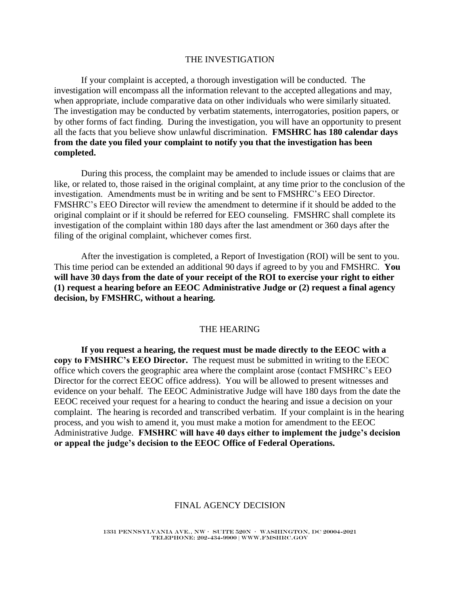#### THE INVESTIGATION

If your complaint is accepted, a thorough investigation will be conducted. The investigation will encompass all the information relevant to the accepted allegations and may, when appropriate, include comparative data on other individuals who were similarly situated. The investigation may be conducted by verbatim statements, interrogatories, position papers, or by other forms of fact finding. During the investigation, you will have an opportunity to present all the facts that you believe show unlawful discrimination. **FMSHRC has 180 calendar days from the date you filed your complaint to notify you that the investigation has been completed.**

During this process, the complaint may be amended to include issues or claims that are like, or related to, those raised in the original complaint, at any time prior to the conclusion of the investigation. Amendments must be in writing and be sent to FMSHRC's EEO Director. FMSHRC's EEO Director will review the amendment to determine if it should be added to the original complaint or if it should be referred for EEO counseling. FMSHRC shall complete its investigation of the complaint within 180 days after the last amendment or 360 days after the filing of the original complaint, whichever comes first.

After the investigation is completed, a Report of Investigation (ROI) will be sent to you. This time period can be extended an additional 90 days if agreed to by you and FMSHRC. **You will have 30 days from the date of your receipt of the ROI to exercise your right to either (1) request a hearing before an EEOC Administrative Judge or (2) request a final agency decision, by FMSHRC, without a hearing.** 

#### THE HEARING

**If you request a hearing, the request must be made directly to the EEOC with a copy to FMSHRC's EEO Director.** The request must be submitted in writing to the EEOC office which covers the geographic area where the complaint arose (contact FMSHRC's EEO Director for the correct EEOC office address). You will be allowed to present witnesses and evidence on your behalf. The EEOC Administrative Judge will have 180 days from the date the EEOC received your request for a hearing to conduct the hearing and issue a decision on your complaint. The hearing is recorded and transcribed verbatim. If your complaint is in the hearing process, and you wish to amend it, you must make a motion for amendment to the EEOC Administrative Judge. **FMSHRC will have 40 days either to implement the judge's decision or appeal the judge's decision to the EEOC Office of Federal Operations.** 

#### FINAL AGENCY DECISION

1331 Pennsylvania Ave., NW • SUITE 520N • WASHINGTON, DC 20004-2021 TELEPHONE: 202-434-9900 | www.fmshrc.gov